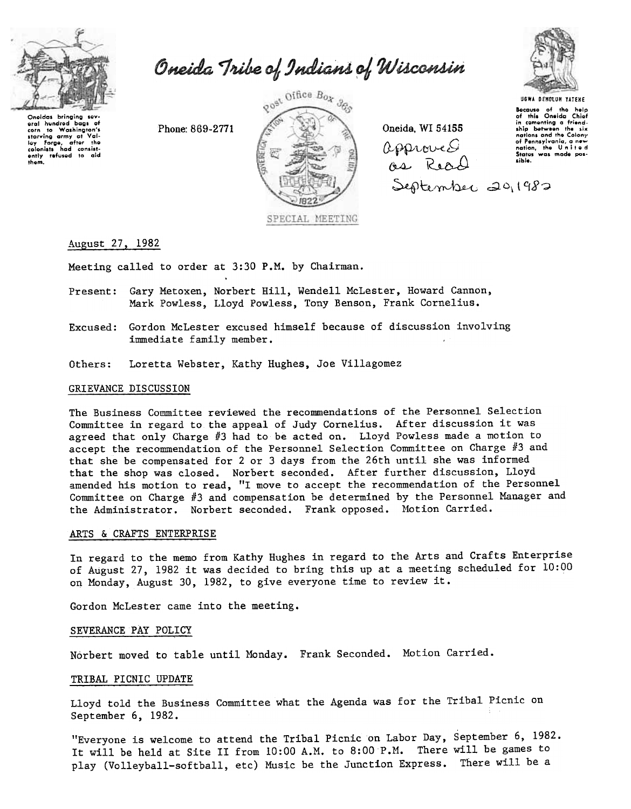

Oneida Tribe of Indians of Wisconsin

Phone: 869-2771



Oneida. WI 54155  $\Omega$ ,  $\Omega$ ,  $\Omega$ ,  $\Omega$ ,  $\Omega$ ,  $\Omega$ ,  $\Omega$ ,  $\Omega$ ,  $\Omega$ ,  $\Omega$ ,  $\Omega$ ,  $\Omega$ ,  $\Omega$ ,  $\Omega$ ,  $\Omega$ ,  $\Omega$ ,  $\Omega$ ,  $\Omega$ ,  $\Omega$ ,  $\Omega$ ,  $\Omega$ ,  $\Omega$ ,  $\Omega$ ,  $\Omega$ ,  $\Omega$ ,  $\Omega$ ,  $\Omega$ ,  $\Omega$ ,  $\Omega$ ,  $\Omega$ ,  $\Omega$ ,  $\Omega$ ,  $\Omega$ ,  $\Omega$ ,  $\Omega$ ,  $\Omega$ ,  $\Omega$ , as Read September 20, 1982



UGWA DENOLUN YATEHE

Because of the help<br>Of this Oneida Chief<br>in comenting a friendnations and tho Colony of Pennsylvania, a new<br>of Pennsylvania, a new<br>attion, the United<br>States was made pos-<br>sible.

# August 27, 1982

Meeting called to order at 3:30 P.M. by Chairman.

- Present: Gary Metoxen, Norbert Hill, Wendell McLester, Howard Cannon, Mark Powless, Lloyd Powless, Tony Benson, Frank Cornelius.
- Excused: Gordon McLester excused himself because of discussion involving immediate family member.
- Others: Loretta Webster, Kathy Hughes, Joe Villagomez

#### GRIEVANCE DISCUSSION

The Business Committee reviewed the recommendations of the Personnel Selection Committee in regard to the appeal of Judy Cornelius. After discussion it was agreed that only Charge #3 had to be acted on. Lloyd Powless made a motion to accept the recommendation of the Personnel Selection Committee on Charge #3 and that she be compensated for 2 or 3 days from the 26th until she was informed that the shop was closed. Norbert seconded. After further discussion, Lloyd amended his motion to read, "I move to accept the recommendation of the Personnel Committee on Charge #3 and compensation be determined by the Personnel Manager and the Administrator. Norbert seconded. Frank opposed. Motion Carried.

#### ARTS & CRAFTS ENTERPRISE

In regard to the memo from Kathy Hughes in regard to the Arts and Crafts Enterprise of August 27, 1982 it was decided to bring this up at a meeting scheduled for 10:00 on Monday, August 30, 1982, to give everyone time to review it.

Gordon McLester came into the meeting.

#### SEVERANCE PAY POLICY

Norbert moved to table until Monday. Frank Seconded. Motion Carried.

## TRIBAL PICNIC UPDATE

Lloyd told the Business Committee what the Agenda was for the Tribal Picnic on September 6, 1982.

"Everyone is welcome to attend the Tribal Picnic on Labor Day, September 6, 1982. It will be held at Site II from 10:00 A.M. to 8:00 P.M. There will be games to play (Volleyball-softball, etc) Music be the Junction Express. There will be a